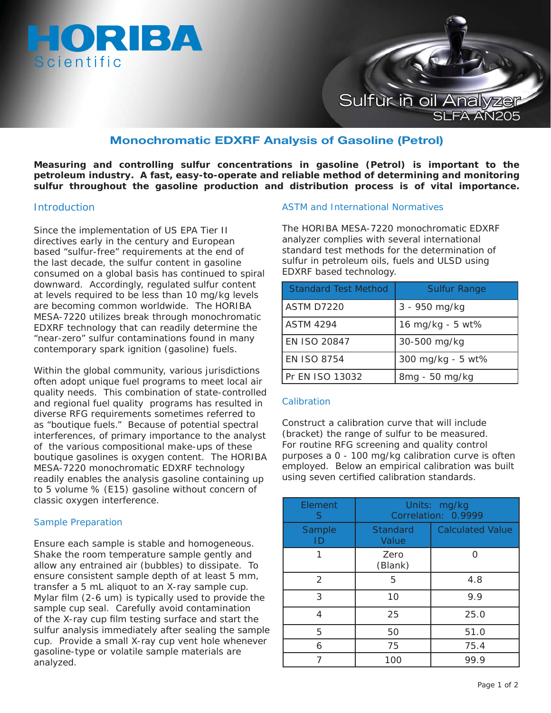



# **Monochromatic EDXRF Analysis of Gasoline (Petrol)**

**Measuring and controlling sulfur concentrations in gasoline (Petrol) is important to the petroleum industry. A fast, easy-to-operate and reliable method of determining and monitoring sulfur throughout the gasoline production and distribution process is of vital importance.**

#### **Introduction**

Since the implementation of US EPA Tier II directives early in the century and European based "sulfur-free" requirements at the end of the last decade, the sulfur content in gasoline consumed on a global basis has continued to spiral downward. Accordingly, regulated sulfur content at levels required to be less than 10 mg/kg levels are becoming common worldwide. The HORIBA MESA-7220 utilizes break through monochromatic EDXRF technology that can readily determine the "near-zero" sulfur contaminations found in many contemporary spark ignition (gasoline) fuels.

Within the global community, various jurisdictions often adopt unique fuel programs to meet local air quality needs. This combination of state-controlled and regional fuel quality programs has resulted in diverse RFG requirements sometimes referred to as "boutique fuels." Because of potential spectral interferences, of primary importance to the analyst of the various compositional make-ups of these boutique gasolines is oxygen content. The HORIBA MESA-7220 monochromatic EDXRF technology readily enables the analysis gasoline containing up to 5 volume % (E15) gasoline without concern of classic oxygen interference.

## Sample Preparation

Ensure each sample is stable and homogeneous. Shake the room temperature sample gently and allow any entrained air (bubbles) to dissipate. To ensure consistent sample depth of at least 5 mm, transfer a 5 mL aliquot to an X-ray sample cup. Mylar film (2-6 um) is typically used to provide the sample cup seal. Carefully avoid contamination of the X-ray cup film testing surface and start the sulfur analysis immediately after sealing the sample cup. Provide a small X-ray cup vent hole whenever gasoline-type or volatile sample materials are analyzed.

#### ASTM and International Normatives

The HORIBA MESA-7220 monochromatic EDXRF analyzer complies with several international standard test methods for the determination of sulfur in petroleum oils, fuels and ULSD using EDXRF based technology.

| <b>Standard Test Method</b> | <b>Sulfur Range</b> |
|-----------------------------|---------------------|
| ASTM D7220                  | 3 - 950 mg/kg       |
| <b>ASTM 4294</b>            | 16 mg/kg - 5 wt%    |
| EN ISO 20847                | 30-500 mg/kg        |
| <b>EN ISO 8754</b>          | 300 mg/kg - 5 wt%   |
| Pr EN ISO 13032             | 8mg - 50 mg/kg      |

## Calibration

Construct a calibration curve that will include (bracket) the range of sulfur to be measured. For routine RFG screening and quality control purposes a 0 - 100 mg/kg calibration curve is often employed. Below an empirical calibration was built using seven certified calibration standards.

| Element<br>S | Units: mg/kg<br>Correlation: 0.9999 |                         |
|--------------|-------------------------------------|-------------------------|
| Sample<br>ID | <b>Standard</b><br>Value            | <b>Calculated Value</b> |
|              | Zero<br>(Blank)                     | ∩                       |
| 2            | 5                                   | 4.8                     |
| 3            | 10                                  | 9.9                     |
| 4            | 25                                  | 25.0                    |
| 5            | 50                                  | 51.0                    |
| 6            | 75                                  | 75.4                    |
|              | 100                                 | 99.9                    |